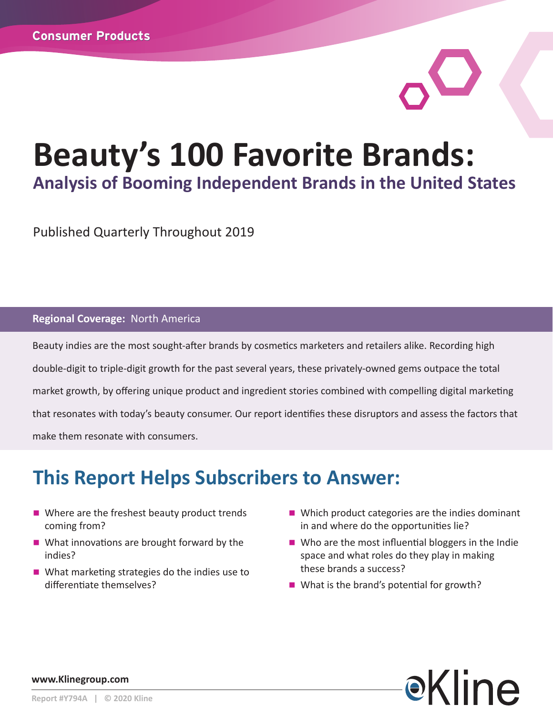# **Beauty's 100 Favorite Brands: Analysis of Booming Independent Brands in the United States**

Published Quarterly Throughout 2019

#### **Regional Coverage:** North America

Beauty indies are the most sought-after brands by cosmetics marketers and retailers alike. Recording high double-digit to triple-digit growth for the past several years, these privately-owned gems outpace the total market growth, by offering unique product and ingredient stories combined with compelling digital marketing that resonates with today's beauty consumer. Our report identifies these disruptors and assess the factors that make them resonate with consumers.

# **This Report Helps Subscribers to Answer:**

- $\blacksquare$  Where are the freshest beauty product trends coming from?
- $\blacksquare$  What innovations are brought forward by the indies?
- $\blacksquare$  What marketing strategies do the indies use to differentiate themselves?
- $\blacksquare$  Which product categories are the indies dominant in and where do the opportunities lie?
- $\blacksquare$  Who are the most influential bloggers in the Indie space and what roles do they play in making these brands a success?
- $\blacksquare$  What is the brand's potential for growth?



**www.Klinegroup.com**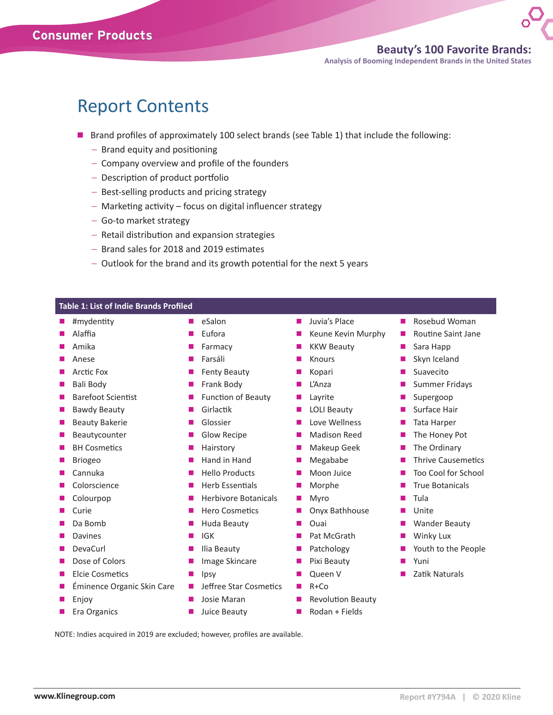### Report Contents

- **n** Brand profiles of approximately 100 select brands (see Table 1) that include the following:
	- − Brand equity and positioning
	- − Company overview and profile of the founders
	- − Description of product portfolio
	- − Best-selling products and pricing strategy
	- − Marketing activity focus on digital influencer strategy
	- − Go-to market strategy
	- − Retail distribution and expansion strategies
	- − Brand sales for 2018 and 2019 estimates
	- − Outlook for the brand and its growth potential for the next 5 years

| <b>Table 1: List of Indie Brands Profiled</b> |                             |                               |                            |
|-----------------------------------------------|-----------------------------|-------------------------------|----------------------------|
| #mydentity                                    | eSalon<br>$\blacksquare$    | Juvia's Place<br><b>COL</b>   | Rosebud Woman              |
| Alaffia                                       | Eufora                      | Keune Kevin Murphy            | <b>Routine Saint Jane</b>  |
| Amika                                         | Farmacy                     | <b>KKW Beauty</b>             | Sara Happ                  |
| Anese                                         | Farsáli                     | Knours                        | Skyn Iceland               |
| Arctic Fox                                    | <b>Fenty Beauty</b>         | Kopari                        | Suavecito                  |
| Bali Body                                     | Frank Body                  | L'Anza                        | <b>Summer Fridays</b>      |
| <b>Barefoot Scientist</b>                     | Function of Beauty          | Layrite                       | Supergoop                  |
| <b>Bawdy Beauty</b>                           | Girlactik                   | <b>LOLI Beauty</b>            | Surface Hair               |
| <b>Beauty Bakerie</b>                         | Glossier                    | Love Wellness                 | Tata Harper                |
| Beautycounter                                 | Glow Recipe                 | <b>Madison Reed</b><br>п      | The Honey Pot              |
| <b>BH Cosmetics</b>                           | Hairstory<br>П              | Makeup Geek<br>$\blacksquare$ | The Ordinary               |
| <b>Briogeo</b>                                | Hand in Hand<br>П           | Megababe<br>$\blacksquare$    | <b>Thrive Causemetics</b>  |
| Cannuka                                       | <b>Hello Products</b>       | Moon Juice                    | <b>Too Cool for School</b> |
| Colorscience                                  | <b>Herb Essentials</b>      | Morphe                        | <b>True Botanicals</b>     |
| Colourpop                                     | <b>Herbivore Botanicals</b> | Myro                          | Tula                       |
| Curie                                         | <b>Hero Cosmetics</b>       | Onyx Bathhouse                | Unite                      |
| Da Bomb                                       | Huda Beauty                 | Ouai                          | <b>Wander Beauty</b>       |
| Davines                                       | <b>IGK</b><br>п             | Pat McGrath                   | Winky Lux                  |
| DevaCurl                                      | Ilia Beauty                 | Patchology                    | Youth to the People        |
| Dose of Colors                                | Image Skincare              | Pixi Beauty                   | Yuni                       |
| Elcie Cosmetics                               | Ipsy                        | Queen V                       | Zatik Naturals             |
| Éminence Organic Skin Care                    | Jeffree Star Cosmetics<br>п | $R + Co$<br><b>COL</b>        |                            |
| Enjoy                                         | Josie Maran                 | <b>Revolution Beauty</b>      |                            |
| Era Organics                                  | Juice Beauty                | Rodan + Fields                |                            |

NOTE: Indies acquired in 2019 are excluded; however, profiles are available.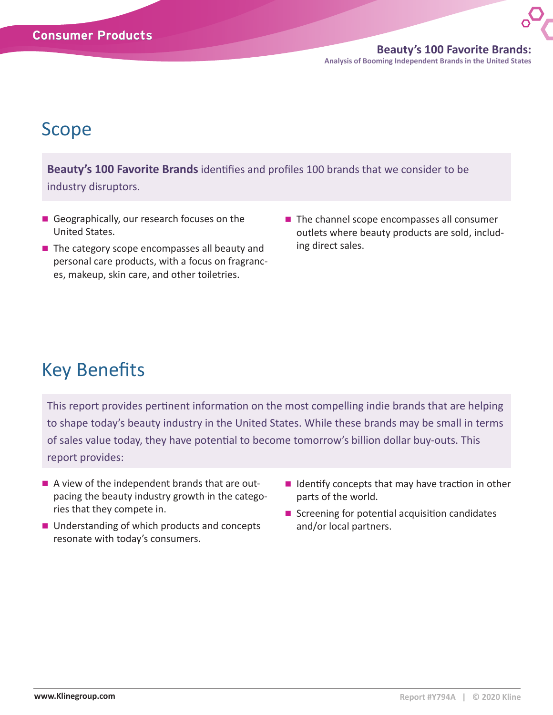**Beauty's 100 Favorite Brands: Analysis of Booming Independent Brands in the United States**

## Scope

**Beauty's 100 Favorite Brands** identifies and profiles 100 brands that we consider to be industry disruptors.

- Geographically, our research focuses on the United States.
- $\blacksquare$  The category scope encompasses all beauty and personal care products, with a focus on fragrances, makeup, skin care, and other toiletries.
- $\blacksquare$  The channel scope encompasses all consumer outlets where beauty products are sold, including direct sales.

# Key Benefits

This report provides pertinent information on the most compelling indie brands that are helping to shape today's beauty industry in the United States. While these brands may be small in terms of sales value today, they have potential to become tomorrow's billion dollar buy-outs. This report provides:

- $\blacksquare$  A view of the independent brands that are outpacing the beauty industry growth in the categories that they compete in.
- Understanding of which products and concepts resonate with today's consumers.
- $\blacksquare$  Identify concepts that may have traction in other parts of the world.
- $\blacksquare$  Screening for potential acquisition candidates and/or local partners.